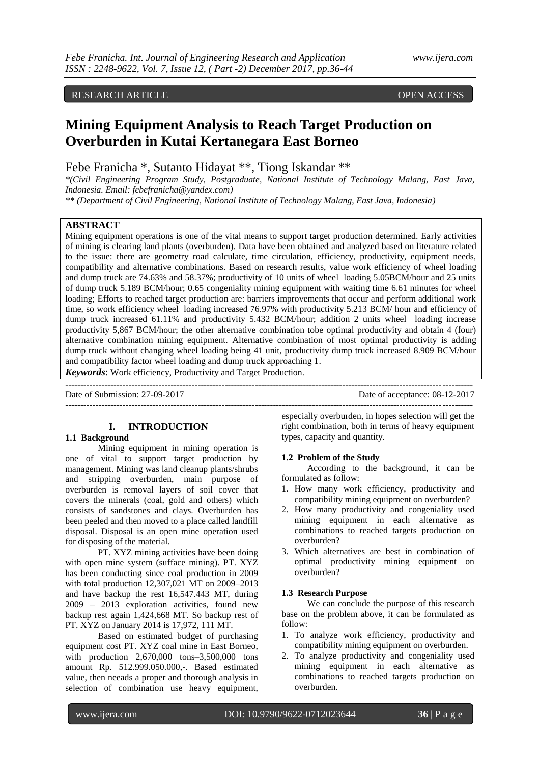# RESEARCH ARTICLE **CONSERVERS**

# **Mining Equipment Analysis to Reach Target Production on Overburden in Kutai Kertanegara East Borneo**

Febe Franicha \*, Sutanto Hidayat \*\*, Tiong Iskandar \*\*

*\*(Civil Engineering Program Study, Postgraduate, National Institute of Technology Malang, East Java, Indonesia. Email: febefranicha@yandex.com)*

*\*\* (Department of Civil Engineering, National Institute of Technology Malang, East Java, Indonesia)*

### **ABSTRACT**

Mining equipment operations is one of the vital means to support target production determined. Early activities of mining is clearing land plants (overburden). Data have been obtained and analyzed based on literature related to the issue: there are geometry road calculate, time circulation, efficiency, productivity, equipment needs, compatibility and alternative combinations. Based on research results, value work efficiency of wheel loading and dump truck are 74.63% and 58.37%; productivity of 10 units of wheel loading 5.05BCM/hour and 25 units of dump truck 5.189 BCM/hour; 0.65 congeniality mining equipment with waiting time 6.61 minutes for wheel loading; Efforts to reached target production are: barriers improvements that occur and perform additional work time, so work efficiency wheel loading increased 76.97% with productivity 5.213 BCM/ hour and efficiency of dump truck increased 61.11% and productivity 5.432 BCM/hour; addition 2 units wheel loading increase productivity 5,867 BCM/hour; the other alternative combination tobe optimal productivity and obtain 4 (four) alternative combination mining equipment. Alternative combination of most optimal productivity is adding dump truck without changing wheel loading being 41 unit, productivity dump truck increased 8.909 BCM/hour and compatibility factor wheel loading and dump truck approaching 1.

**---------------------------------------------------------------------------------------------------------------------------------------**

*Keywords*: Work efficiency, Productivity and Target Production.

Date of Submission: 27-09-2017 Date of acceptance: 08-12-2017

# **I. INTRODUCTION**

#### **1.1 Background**

Mining equipment in mining operation is one of vital to support target production by management. Mining was land cleanup plants/shrubs and stripping overburden, main purpose of overburden is removal layers of soil cover that covers the minerals (coal, gold and others) which consists of sandstones and clays. Overburden has been peeled and then moved to a place called landfill disposal. Disposal is an open mine operation used for disposing of the material.

PT. XYZ mining activities have been doing with open mine system (sufface mining). PT. XYZ has been conducting since coal production in 2009 with total production 12,307,021 MT on 2009–2013 and have backup the rest 16,547.443 MT, during 2009 – 2013 exploration activities, found new backup rest again 1,424,668 MT. So backup rest of PT. XYZ on January 2014 is 17,972, 111 MT.

Based on estimated budget of purchasing equipment cost PT. XYZ coal mine in East Borneo, with production 2,670,000 tons–3,500,000 tons amount Rp. 512.999.050.000,-. Based estimated value, then neeads a proper and thorough analysis in selection of combination use heavy equipment,

especially overburden, in hopes selection will get the right combination, both in terms of heavy equipment types, capacity and quantity.

**---------------------------------------------------------------------------------------------------------------------------------------**

#### **1.2 Problem of the Study**

According to the background, it can be formulated as follow:

- 1. How many work efficiency, productivity and compatibility mining equipment on overburden?
- 2. How many productivity and congeniality used mining equipment in each alternative as combinations to reached targets production on overburden?
- 3. Which alternatives are best in combination of optimal productivity mining equipment on overburden?

#### **1.3 Research Purpose**

We can conclude the purpose of this research base on the problem above, it can be formulated as follow:

- 1. To analyze work efficiency, productivity and compatibility mining equipment on overburden.
- 2. To analyze productivity and congeniality used mining equipment in each alternative as combinations to reached targets production on overburden.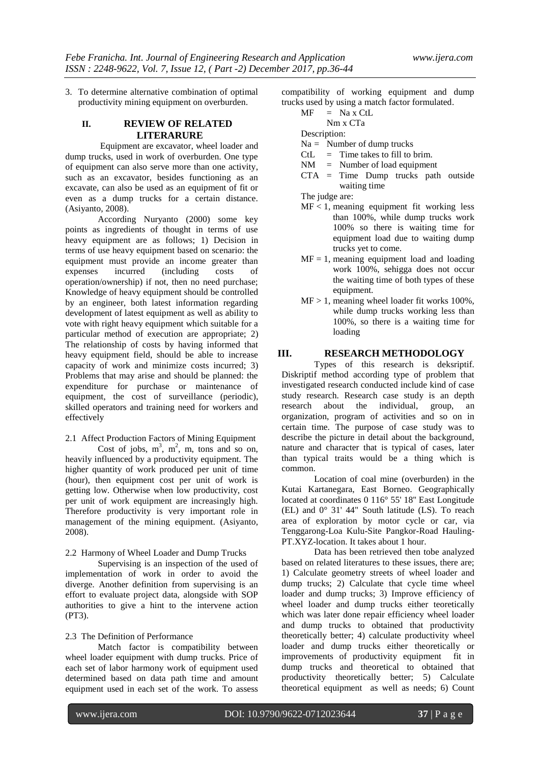3. To determine alternative combination of optimal productivity mining equipment on overburden.

# **II. REVIEW OF RELATED LITERARURE**

Equipment are excavator, wheel loader and dump trucks, used in work of overburden. One type of equipment can also serve more than one activity, such as an excavator, besides functioning as an excavate, can also be used as an equipment of fit or even as a dump trucks for a certain distance. (Asiyanto, 2008).

According Nuryanto (2000) some key points as ingredients of thought in terms of use heavy equipment are as follows; 1) Decision in terms of use heavy equipment based on scenario: the equipment must provide an income greater than<br>expenses incurred (including costs of expenses incurred (including costs of operation/ownership) if not, then no need purchase; Knowledge of heavy equipment should be controlled by an engineer, both latest information regarding development of latest equipment as well as ability to vote with right heavy equipment which suitable for a particular method of execution are appropriate; 2) The relationship of costs by having informed that heavy equipment field, should be able to increase capacity of work and minimize costs incurred; 3) Problems that may arise and should be planned: the expenditure for purchase or maintenance of equipment, the cost of surveillance (periodic), skilled operators and training need for workers and effectively

2.1 Affect Production Factors of Mining Equipment Cost of jobs,  $m^3$ ,  $m^2$ , m, tons and so on, heavily influenced by a productivity equipment. The higher quantity of work produced per unit of time (hour), then equipment cost per unit of work is getting low. Otherwise when low productivity, cost per unit of work equipment are increasingly high. Therefore productivity is very important role in management of the mining equipment. (Asiyanto, 2008).

2.2 Harmony of Wheel Loader and Dump Trucks

Supervising is an inspection of the used of implementation of work in order to avoid the diverge. Another definition from supervising is an effort to evaluate project data, alongside with SOP authorities to give a hint to the intervene action (PT3).

## 2.3 The Definition of Performance

Match factor is compatibility between wheel loader equipment with dump trucks. Price of each set of labor harmony work of equipment used determined based on data path time and amount equipment used in each set of the work. To assess

compatibility of working equipment and dump trucks used by using a match factor formulated.

# $MF = Na \times CtL$

Nm x CTa

Description:

- Na = Number of dump trucks
- $CL = Time takes to fill to brim.$
- NM = Number of load equipment
- CTA = Time Dump trucks path outside waiting time

The judge are:

- $MF < 1$ , meaning equipment fit working less than 100%, while dump trucks work 100% so there is waiting time for equipment load due to waiting dump trucks yet to come.
- $MF = 1$ , meaning equipment load and loading work 100%, sehigga does not occur the waiting time of both types of these equipment.
- $MF > 1$ , meaning wheel loader fit works 100%. while dump trucks working less than 100%, so there is a waiting time for loading

# **III. RESEARCH METHODOLOGY**

Types of this research is deksriptif. Diskriptif method according type of problem that investigated research conducted include kind of case study research. Research case study is an depth research about the individual, group, an organization, program of activities and so on in certain time. The purpose of case study was to describe the picture in detail about the background, nature and character that is typical of cases, later than typical traits would be a thing which is common.

Location of coal mine (overburden) in the Kutai Kartanegara, East Borneo. Geographically located at coordinates 0 116° 55' 18'' East Longitude (EL) and 0° 31' 44" South latitude (LS). To reach area of exploration by motor cycle or car, via Tenggarong-Loa Kulu-Site Pangkor-Road Hauling-PT.XYZ-location. It takes about 1 hour.

Data has been retrieved then tobe analyzed based on related literatures to these issues, there are; 1) Calculate geometry streets of wheel loader and dump trucks; 2) Calculate that cycle time wheel loader and dump trucks; 3) Improve efficiency of wheel loader and dump trucks either teoretically which was later done repair efficiency wheel loader and dump trucks to obtained that productivity theoretically better; 4) calculate productivity wheel loader and dump trucks either theoretically or improvements of productivity equipment fit in dump trucks and theoretical to obtained that productivity theoretically better; 5) Calculate theoretical equipment as well as needs; 6) Count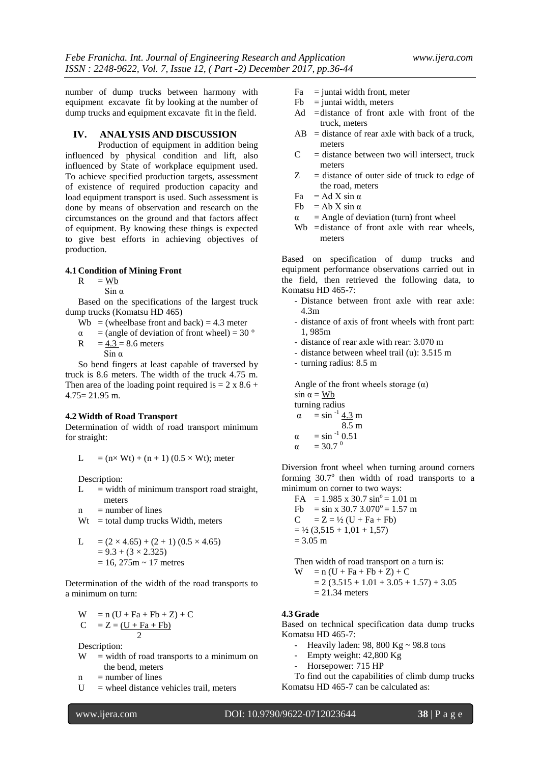number of dump trucks between harmony with equipment excavate fit by looking at the number of dump trucks and equipment excavate fit in the field.

#### **IV. ANALYSIS AND DISCUSSION**

Production of equipment in addition being influenced by physical condition and lift, also influenced by State of workplace equipment used. To achieve specified production targets, assessment of existence of required production capacity and load equipment transport is used. Such assessment is done by means of observation and research on the circumstances on the ground and that factors affect of equipment. By knowing these things is expected to give best efforts in achieving objectives of production.

# **4.1 Condition of Mining Front**

 $R = Wb$ 

 $\sin \alpha$ 

Based on the specifications of the largest truck dump trucks (Komatsu HD 465)

- Wb = (wheelbase front and back) = 4.3 meter
- $\alpha$  = (angle of deviation of front wheel) = 30 °
- $R = 4.3 = 8.6$  meters Sin  $α$

So bend fingers at least capable of traversed by truck is 8.6 meters. The width of the truck 4.75 m. Then area of the loading point required is  $= 2 \times 8.6 +$ 4.75= 21.95 m.

#### **4.2Width of Road Transport**

Determination of width of road transport minimum for straight:

$$
L = (n \times Wt) + (n + 1) (0.5 \times Wt);
$$
 meter

Description:

 $L =$  width of minimum transport road straight, meters

 $n = number of lines$ 

 $Wt =$  total dump trucks Width, meters

L = 
$$
(2 \times 4.65) + (2 + 1) (0.5 \times 4.65)
$$
  
=  $9.3 + (3 \times 2.325)$   
= 16, 275m ~ 17 metres

Determination of the width of the road transports to a minimum on turn:

$$
W = n (U + Fa + Fb + Z) + C
$$
  
\n
$$
C = Z = (U + Fa + Fb)
$$

 2 Description:

 $W =$  width of road transports to a minimum on the bend, meters

 $n = number of lines$ 

 $U$  = wheel distance vehicles trail, meters

- $Fa = juntai width front, meter$
- $Fb =$  juntai width, meters
- Ad =distance of front axle with front of the truck, meters
- $AB = distance of rear axle with back of a truck,$ meters
- $C =$  distance between two will intersect, truck meters
- $Z =$  distance of outer side of truck to edge of the road, meters
- $Fa = Ad X \sin \alpha$
- Fb = Ab X sin  $\alpha$
- $\alpha$  = Angle of deviation (turn) front wheel
- Wb = distance of front axle with rear wheels, meters

Based on specification of dump trucks and equipment performance observations carried out in the field, then retrieved the following data, to Komatsu HD 465-7:

- Distance between front axle with rear axle: 4.3m
- distance of axis of front wheels with front part: 1, 985m
- distance of rear axle with rear: 3.070 m
- distance between wheel trail (u): 3.515 m
- turning radius: 8.5 m

Angle of the front wheels storage  $(\alpha)$  $sin \alpha = Wb$ turning radius  $\alpha = \sin^{-1} 4.3 \text{ m}$ 8.5 m  $\alpha = \sin^{-1} 0.51$ α = 30.7<sup>o</sup>

Diversion front wheel when turning around corners forming 30.7° then width of road transports to a minimum on corner to two ways:

FA =  $1.985 \times 30.7 \sin^{\circ} = 1.01 \text{ m}$ Fb = sin x 30.7  $3.070^{\circ}$  = 1.57 m  $C = Z = \frac{1}{2} (U + Fa + Fb)$  $=$  ½ (3,515 + 1,01 + 1,57)  $= 3.05$  m

Then width of road transport on a turn is:

$$
W = n (U + Fa + Fb + Z) + C
$$
  
= 2 (3.515 + 1.01 + 3.05 + 1.57) + 3.05  
= 21.34 meters

#### **4.3 Grade**

Based on technical specification data dump trucks Komatsu HD 465-7:

- Heavily laden: 98, 800 Kg  $\sim$  98.8 tons
- Empty weight: 42,800 Kg
- Horsepower: 715 HP

To find out the capabilities of climb dump trucks Komatsu HD 465-7 can be calculated as: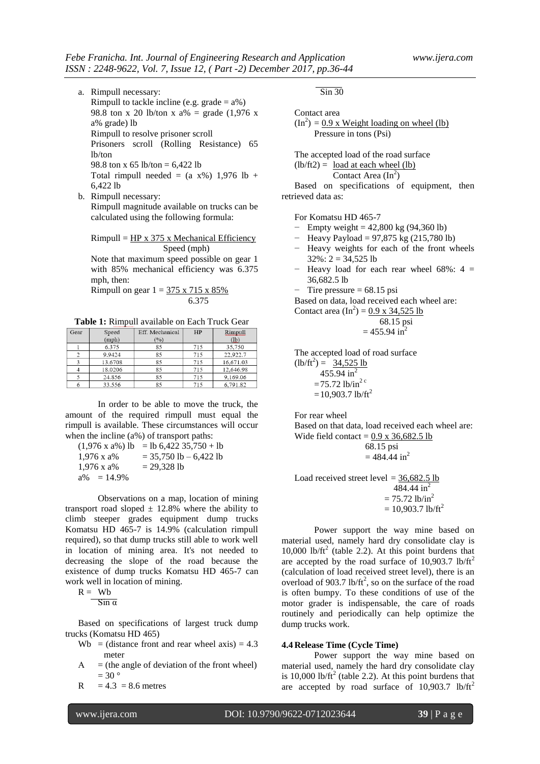- a. Rimpull necessary: Rimpull to tackle incline (e.g. grade  $= a\%$ ) 98.8 ton x 20 lb/ton x  $a\% = \text{grade} (1,976 \text{ x})$ a% grade) lb Rimpull to resolve prisoner scroll Prisoners scroll (Rolling Resistance) 65 lb/ton 98.8 ton x 65 lb/ton = 6.422 lb Total rimpull needed =  $(a x\%)$  1,976 lb + 6,422 lb
- b. Rimpull necessary: Rimpull magnitude available on trucks can be calculated using the following formula:

 $Rimpull = HP x 375 x Mechanical Efficiency$ Speed (mph)

Note that maximum speed possible on gear 1 with 85% mechanical efficiency was 6.375 mph, then:

Rimpull on gear  $1 = 375 \times 715 \times 85\%$ 6.375

**Table 1:** Rimpull available on Each Truck Gear

| Gear | Speed   | Eff. Mechanical | HP  | Rimpull   |
|------|---------|-----------------|-----|-----------|
|      | (mph)   | (%)             |     | (lb)      |
|      | 6.375   | 85              | 715 | 35,750    |
|      | 9.9424  | 85              | 715 | 22.922.7  |
|      | 13.6708 | 85              | 715 | 16.671.03 |
| 4    | 18.0206 | 85              | 715 | 12,646.98 |
|      | 24.856  | 85              | 715 | 9.169.06  |
|      | 33.556  | 85              | 715 | 6.791.82  |

In order to be able to move the truck, the amount of the required rimpull must equal the rimpull is available. These circumstances will occur when the incline (a%) of transport paths:

 $(1,976 \times a\%)$  lb = lb 6,422 35,750 + lb  $1,976$  x a% = 35,750 lb – 6,422 lb  $1,976$  x a% = 29,328 lb  $a\% = 14.9\%$ 

Observations on a map, location of mining transport road sloped  $\pm$  12.8% where the ability to climb steeper grades equipment dump trucks Komatsu HD 465-7 is 14.9% (calculation rimpull required), so that dump trucks still able to work well in location of mining area. It's not needed to decreasing the slope of the road because the existence of dump trucks Komatsu HD 465-7 can work well in location of mining.

$$
R = Wb
$$

 $\overline{\text{Sin }\alpha}$ 

Based on specifications of largest truck dump trucks (Komatsu HD 465)

- Wb = (distance front and rear wheel axis) =  $4.3$ meter
- $A =$  (the angle of deviation of the front wheel)  $= 30$  °
- $R = 4.3 = 8.6$  metres

 $\overline{\text{Sin }30}$ 

Contact area

$$
(In2) = 0.9 x Weight loading on wheel (lb)
$$
  
Pressure in tons (Psi)

The accepted load of the road surface  $(lb/ft2) =$  load at each wheel  $(lb)$ 

Contact Area  $(In^2)$ 

Based on specifications of equipment, then retrieved data as:

For Komatsu HD 465-7

- − Empty weight = 42,800 kg (94,360 lb)
- − Heavy Payload = 97,875 kg (215,780 lb)
- − Heavy weights for each of the front wheels  $32\%$ : 2 = 34,525 lb
- − Heavy load for each rear wheel 68%: 4 = 36,682.5 lb
- Tire pressure  $= 68.15$  psi

Based on data, load received each wheel are:

Contact area  $(In^2) = 0.9 \times 34,525$  lb

$$
68.15 \text{ psi}
$$
  
= 455.94 in<sup>2</sup>

The accepted load of road surface  $(lb/ft^2) = 34,525 lb$ 

455.94 in<sup>2</sup>  $=75.72$  lb/in<sup>2 c</sup>  $=10.903.7$  lb/ft<sup>2</sup>

For rear wheel

Based on that data, load received each wheel are: Wide field contact =  $0.9 \times 36,682.5$  lb

68.15 psi

$$
= 484.44 \text{ in}^2
$$

Load received street level  $=$  36,682.5 lb 484.44 in<sup>2</sup>  $= 75.72$  lb/in<sup>2</sup>  $= 10,903.7$  lb/ft<sup>2</sup>

Power support the way mine based on material used, namely hard dry consolidate clay is 10,000 lb/ft<sup>2</sup> (table 2.2). At this point burdens that are accepted by the road surface of  $10,903.7$  lb/ft<sup>2</sup> (calculation of load received street level), there is an overload of 903.7 lb/ft<sup>2</sup>, so on the surface of the road is often bumpy. To these conditions of use of the motor grader is indispensable, the care of roads routinely and periodically can help optimize the dump trucks work.

#### **4.4 Release Time (Cycle Time)**

Power support the way mine based on material used, namely the hard dry consolidate clay is 10,000 lb/ft<sup>2</sup> (table 2.2). At this point burdens that are accepted by road surface of  $10,903.7$  lb/ft<sup>2</sup>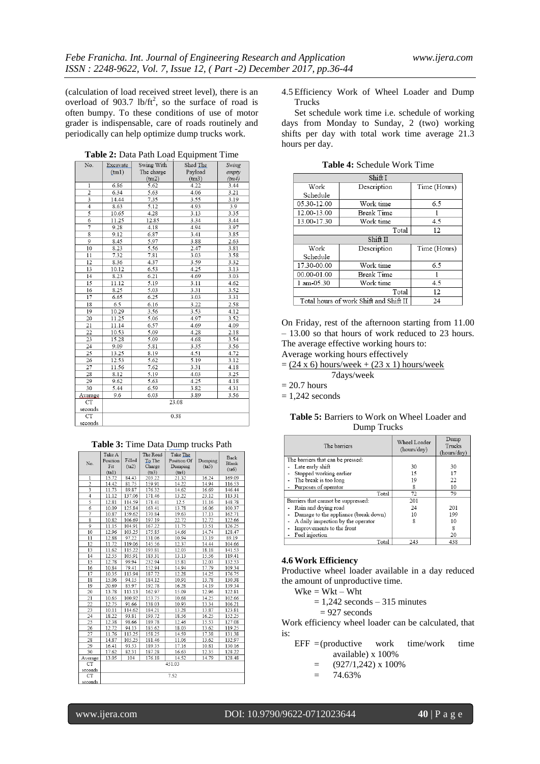(calculation of load received street level), there is an overload of 903.7 lb/ $\text{ft}^2$ , so the surface of road is often bumpy. To these conditions of use of motor grader is indispensable, care of roads routinely and periodically can help optimize dump trucks work.

| TAO.           | L'Acavaie. | $500 \text{m}$ | $\frac{1}{2}$ | owing<br>empty |  |
|----------------|------------|----------------|---------------|----------------|--|
|                | (tm1)      | The charge     | Payload       |                |  |
|                |            | (tm2)          | (tm3)         | (tm4)          |  |
| $\mathbf{1}$   | 6.86       | 5.62           | 4.22          | 3.44           |  |
| $\overline{2}$ | 6.34       | 5.63           | 4.06          | 3.21           |  |
|                | 14.44      | 7.35           | 3.55          | 3.19           |  |
| $\overline{4}$ | 8.63       | 5.12           | 4.93          | 3.9            |  |
| 5              | 10.65      | 4.28           | 3.13          | 3.35           |  |
| 6              | 11.25      | 12.85          | 3.34          | 3.44           |  |
| 7              | 9.28       | 4.18           | 4.94          | 3.97           |  |
| $\overline{8}$ | 9.12       | 6.87           | 3.41          | 3.85           |  |
| 9              | 8.45       | 5.97           | 3.88          | 2.63           |  |
| 10             | 8.23       | 5.56           | 2.47          | 3.81           |  |
| 11             | 7.32       | 7.81           | 3.03          | 3.58           |  |
| 12             | 8.36       | 4.37           | 3.59          | 3.32           |  |
| 13             | 10.12      | 6.53           | 4.25          | 3.13           |  |
| 14             | 8.23       | 6.21           | 4.69          | 3.03           |  |
| 15             | 11.12      | 5.19           | 3.11          | 4.62           |  |
| 16             | 8.25       | 5.03           | 3.31          | 3.52           |  |
| 17             | 6.65       | 6.25           | 3.03          | 3.31           |  |
| 18             | 6.5        | 6.16           | 3.22          | 2.58           |  |
| 19             | 10.29      | 3.56           | 3.53          | 4.12           |  |
| 20             | 11.25      | 5.06           | 4.97          | 3.52           |  |
| 21             | 11.14      | 6.57           | 4.69          | 4.09           |  |
| 22             | 10.53      | 5.09           | 4.28          | 2.18           |  |
| 23             | 15.28      | 5.09           | 4.68          | 3.54           |  |
| 24             | 9.09       | 5.81           | 3.35          | 3.56           |  |
| 25             | 13.25      | 8.19           | 4.51          | 4.72           |  |
| 26             | 12.53      | 5.62           | 5.19          | 3.12           |  |
| 27             | 11.56      | 7.62           | 3.31          | 4.18           |  |
| 28             | 8.12       | 5.19           | 4.03          | 3.25           |  |
| 29             | 9.62       | 5.63           | 4.25          | 4.18           |  |
| 30             | 5.44       | 6.59           | 3.82          | 4.31           |  |
| Avarage        | 9.6        | 6.03           | 3.89          | 3.56           |  |
| CT             | 23.08      |                |               |                |  |
| seconds        |            |                |               |                |  |
| CT             | 0.38       |                |               |                |  |
| seconds        |            |                |               |                |  |

|  |  | Table 2: Data Path Load Equipment Time |  |
|--|--|----------------------------------------|--|
|  |  | No Excavate Swing With Shed The Swing  |  |

| Table 3: Time Data Dump trucks Path |  |
|-------------------------------------|--|
|-------------------------------------|--|

|                         |                    |        |                    | Ŧ<br><b>L. MANAHAMA</b> |         |        |
|-------------------------|--------------------|--------|--------------------|-------------------------|---------|--------|
| No.                     | Take A<br>Position | Filled | The Road<br>To The | Take The<br>Position Of | Dumping | Back   |
|                         | Fit                | (ta2)  | Charge             | Dumping                 | (ta5)   | Blank  |
|                         | (ta1)              |        | (ta3)              | (ta4)                   |         | (ta6)  |
| $\mathbf{1}$            | 15.72              | 84.43  | 203.22             | 21.32                   | 16.24   | 169.09 |
| $\overline{2}$          | 14.42              | 81.75  | 159.91             | 14.22                   | 14.94   | 116.53 |
| 3                       | 11.73              | 89.87  | 176.32             | 14.62                   | 16.69   | 146.44 |
| $\overline{4}$          | 11.12              | 137.06 | 171.46             | 13.22                   | 23.12   | 113.31 |
| 5                       | 12.81              | 114.59 | 171.41             | 12.5                    | 11.16   | 148.78 |
| 6                       | 10.09              | 125.84 | 163.41             | 13.78                   | 16.06   | 100.37 |
| 7                       | 10.87              | 159.62 | 170.84             | 19.63                   | 17.13   | 162.71 |
| $\overline{\mathbf{8}}$ | 10.82              | 106.69 | 197.19             | 22.72                   | 12.72   | 122.66 |
| 9                       | 11.15              | 104.91 | 167.22             | 11.75                   | 13.51   | 126.25 |
| 10                      | 12.96              | 103.25 | 175.85             | 14.66                   | 14.74   | 128.47 |
| 11                      | 12.88              | 97.22  | 131.06             | 10.94                   | 13.19   | 89.19  |
| 12                      | 11.72              | 119.06 | 145.56             | 12.37                   | 14.44   | 104.66 |
| 13                      | 11.62              | 115.22 | 193.81             | 12.03                   | 18.18   | 141.53 |
| 14                      | 12.55              | 105.91 | 183.31             | 13.13                   | 15.56   | 119.41 |
| 15                      | 12.78              | 99.94  | 232.94             | 15.81                   | 12.03   | 132.53 |
| 16                      | 10.84              | 79.41  | 152.94             | 14.94                   | 17.79   | 109.34 |
| 17                      | 10.35              | 113.94 | 187.72             | 12.28                   | 14.25   | 176.75 |
| 18                      | 15.06              | 94.15  | 184.12             | 10.91                   | 13.78   | 130.38 |
| 19                      | 20.69              | 85.97  | 192.78             | 16.28                   | 14.19   | 139.34 |
| 20                      | 13.78              | 113.13 | 162.97             | 15.09                   | 12.96   | 122.81 |
| 21                      | 10.65              | 100.92 | 153.75             | 10.68                   | 14.25   | 102.66 |
| 22                      | 12.75              | 91.66  | 138.03             | 10.93                   | 13.34   | 106.21 |
| 23                      | 10.11              | 114.62 | 184.21             | 13.28                   | 13.87   | 123.81 |
| 24                      | 18.22              | 93.81  | 193.72             | 18.56                   | 16.25   | 152.25 |
| 25                      | 12.38              | 98.66  | 189.78             | 12.46                   | 15.53   | 127.08 |
| 26                      | 12.72              | 94.13  | 185.62             | 18.03                   | 13.62   | 119.25 |
| 27                      | 11.76              | 113.25 | 158.25             | 14.59                   | 17.38   | 131.38 |
| 28                      | 14.87              | 105.25 | 181.46             | 11.06                   | 13.62   | 132.97 |
| 29                      | 16.41              | 93.53  | 189.35             | 17.16                   | 10.81   | 130.16 |
| 30                      | 17.62              | 82.31  | 187.28             | 16.63                   | 12.35   | 128.22 |
| Average                 | 13.05              | 104    | 176.18             | 14.52                   | 14.79   | 128.48 |
| <b>CT</b>               | 451.03             |        |                    |                         |         |        |
| seconds                 |                    |        |                    |                         |         |        |
| <b>CT</b>               | 7.52               |        |                    |                         |         |        |
| seconds                 |                    |        |                    |                         |         |        |

4.5 Efficiency Work of Wheel Loader and Dump Trucks

Set schedule work time i.e. schedule of working days from Monday to Sunday, 2 (two) working shifts per day with total work time average 21.3 hours per day.

| Shift I                                      |                   |              |  |  |  |
|----------------------------------------------|-------------------|--------------|--|--|--|
| Work                                         | Description       | Time (Hours) |  |  |  |
| Schedule                                     |                   |              |  |  |  |
| 05.30-12.00                                  | Work time         | 6.5          |  |  |  |
| 12.00-13.00                                  | <b>Break Time</b> |              |  |  |  |
| 13.00-17.30                                  | Work time         | 4.5          |  |  |  |
| Total<br>12                                  |                   |              |  |  |  |
| Shift II                                     |                   |              |  |  |  |
| Work                                         | Description       | Time (Hours) |  |  |  |
| Schedule                                     |                   |              |  |  |  |
| 17.30-00.00                                  | Work time         | 6.5          |  |  |  |
| 00.00-01.00                                  | <b>Break Time</b> |              |  |  |  |
| 1 am-05.30                                   | Work time         | 4.5          |  |  |  |
|                                              | 12                |              |  |  |  |
| Total hours of work Shift and Shift II<br>24 |                   |              |  |  |  |

**Table 4:** Schedule Work Time

On Friday, rest of the afternoon starting from 11.00 – 13.00 so that hours of work reduced to 23 hours. The average effective working hours to:

Average working hours effectively

 $=$  (24 x 6) hours/week + (23 x 1) hours/week 7days/week

 $= 20.7$  hours

 $= 1.242$  seconds

**Table 5:** Barriers to Work on Wheel Loader and Dump Trucks

| The barriers                         | Wheel Loader<br>(hours/day) | Dump<br>Trucks<br>(hours/day) |
|--------------------------------------|-----------------------------|-------------------------------|
| The barriers that can be pressed:    |                             |                               |
| Late early shift                     | 30                          | 30                            |
| Stopped working earlier              | 15                          | 17                            |
| The break is too long                | 19                          | 22                            |
| Purposes of operator                 | 8                           | 10                            |
| Total                                | 72                          | 79                            |
| Barriers that cannot be suppressed:  | 201                         |                               |
| - Rain and drying road               | 24                          | 201                           |
| Damage to the appliance (break down) | 10                          | 199                           |
| A daily inspection by the operator   | 8                           | 10                            |
| Improvements to the front            |                             | 8                             |
| Fuel injection                       |                             | 20                            |
| Total                                | 243                         | 438                           |

#### **4.6Work Efficiency**

Productive wheel loader available in a day reduced the amount of unproductive time.

 $Wke = Wkt - Wht$ 

 $= 1,242$  seconds – 315 minutes

 $= 927$  seconds

Work efficiency wheel loader can be calculated, that is:

- $EFF = (productive work time/work time)$ available) x 100%
	- $=$  (927/1,242) x 100%
	- $= 74.63\%$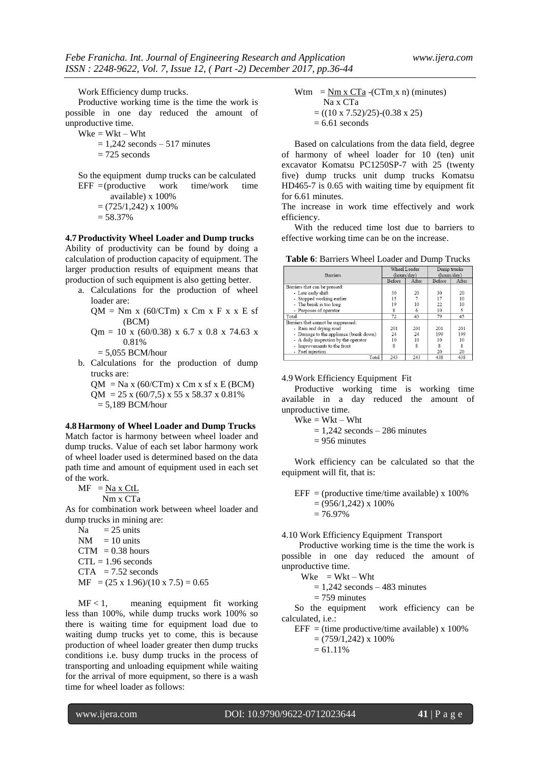Work Efficiency dump trucks.

Productive working time is the time the work is possible in one day reduced the amount of unproductive time.

 $Wke = Wkt - Wht$ 

 $= 1,242$  seconds  $- 517$  minutes  $= 725$  seconds

So the equipment dump trucks can be calculated  $EFF = (productive work time/work time)$ 

> available) x 100%  $= (725/1,242) \times 100\%$  $= 58.37\%$

**4.7 Productivity Wheel Loader and Dump trucks** Ability of productivity can be found by doing a calculation of production capacity of equipment. The larger production results of equipment means that production of such equipment is also getting better.

a. Calculations for the production of wheel loader are:

 $QM = Nm x (60/CTm) x Cm x F x x E s f$ (BCM)

Qm = 10 x (60/0.38) x 6.7 x 0.8 x 74.63 x 0.81%

 $= 5,055$  BCM/hour

- b. Calculations for the production of dump trucks are:
- $QM = Na x (60/CTm) x Cm x s f x E (BCM)$  $OM = 25 \times (60/7.5) \times 55 \times 58.37 \times 0.81\%$  $= 5,189$  BCM/hour

#### **4.8 Harmony of Wheel Loader and Dump Trucks**

Match factor is harmony between wheel loader and dump trucks. Value of each set labor harmony work of wheel loader used is determined based on the data path time and amount of equipment used in each set of the work.

 $MF = Na x CtL$ 

Nm x CTa

As for combination work between wheel loader and dump trucks in mining are:

 $Na = 25$  units  $NM = 10$  units  $CTM = 0.38$  hours  $CTL = 1.96$  seconds  $CTA = 7.52$  seconds  $MF = (25 \times 1.96)/(10 \times 7.5) = 0.65$ 

 $MF < 1$ , meaning equipment fit working less than 100%, while dump trucks work 100% so there is waiting time for equipment load due to waiting dump trucks yet to come, this is because production of wheel loader greater then dump trucks conditions i.e. busy dump trucks in the process of transporting and unloading equipment while waiting for the arrival of more equipment, so there is a wash time for wheel loader as follows:

$$
Wtm = \frac{Nm x CTa}{Na x CTa} - (CTm_x n) (minutes)
$$
  
= ((10 x 7.52)/25) - (0.38 x 25)  
= 6.61 seconds

Based on calculations from the data field, degree of harmony of wheel loader for 10 (ten) unit excavator Komatsu PC1250SP-7 with 25 (twenty five) dump trucks unit dump trucks Komatsu HD465-7 is 0.65 with waiting time by equipment fit for 6.61 minutes.

The increase in work time effectively and work efficiency.

With the reduced time lost due to barriers to effective working time can be on the increase.

**Table 6**: Barriers Wheel Loader and Dump Trucks

| <b>Barriers</b>                        | Wheel Loader<br>(hours/day) |       | Dump trucks<br>(hours/day) |       |
|----------------------------------------|-----------------------------|-------|----------------------------|-------|
|                                        | Before                      | After | Before                     | After |
| Barriers that can be pressed:          |                             |       |                            |       |
| - Late early shift                     | 30                          | 20    | 30                         | 20    |
| - Stopped working earlier              | 15                          |       | 17                         | 10    |
| - The break is too long                | 19                          | 10    | 22                         | 10    |
| - Purposes of operator                 | 8                           | 6     | 10                         | 5     |
| Total                                  | 72                          | 43    | 79                         | 45    |
| Barriers that cannot be suppressed:    |                             |       |                            |       |
| - Rain and drying road                 | 201                         | 201   | 201                        | 201   |
| - Damage to the appliance (break down) | 24                          | 24    | 199                        | 199   |
| - A daily inspection by the operator   | 10                          | 10    | 10                         | 10    |
| - Improvements to the front            | 8                           | 8     | $\mathbf{\overline{R}}$    | 8     |
| - Fuel injection                       |                             |       | 20                         | 20    |
| Total                                  | 243                         | 243   | 438                        | 438   |

#### 4.9 Work Efficiency Equipment Fit

Productive working time is working time available in a day reduced the amount of unproductive time.

 $Wke = Wkt - Wht$ 

 $= 1,242$  seconds  $- 286$  minutes

 $= 956$  minutes

Work efficiency can be calculated so that the equipment will fit, that is:

 $EFF = (productive time/time available) \times 100\%$  $= (956/1,242) \times 100\%$  $= 76.97\%$ 

#### 4.10 Work Efficiency Equipment Transport

 Productive working time is the time the work is possible in one day reduced the amount of unproductive time.

 $Wke = Wkt - Wht$ 

 $= 1,242$  seconds  $- 483$  minutes

 $= 759$  minutes

So the equipment work efficiency can be calculated, i.e.:

 $EFF = (time \, productive/time \, available) \times 100\%$ 

 $= (759/1,242) \times 100\%$ 

 $= 61.11\%$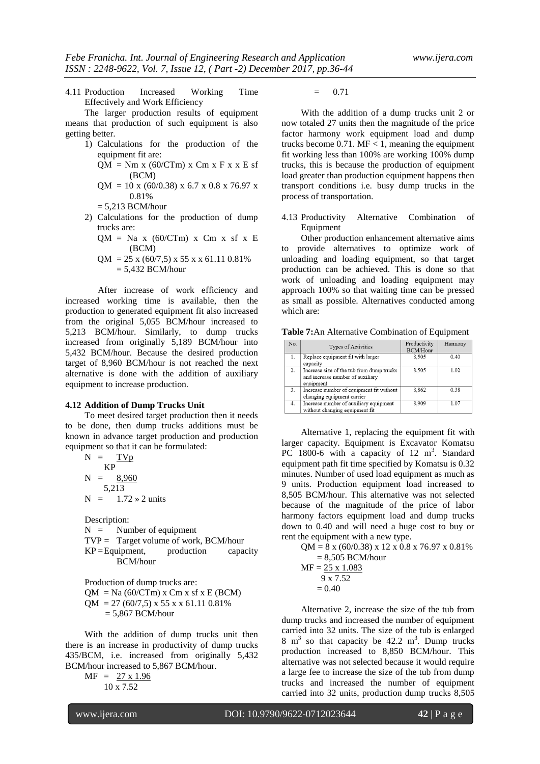4.11 Production Increased Working Time Effectively and Work Efficiency

The larger production results of equipment means that production of such equipment is also getting better.

> 1) Calculations for the production of the equipment fit are:

$$
QM = Nm x (60/CTm) x Cm x F x x E s f (BCM)
$$

 $OM = 10$  x (60/0.38) x 6.7 x 0.8 x 76.97 x 0.81%

 $= 5.213$  BCM/hour

- 2) Calculations for the production of dump trucks are:
	- $QM = Na x (60/CTm) x Cm x s f x E$ (BCM)
	- $QM = 25 \times (60/7.5) \times 55 \times (61.11) 0.81\%$  $= 5,432$  BCM/hour

After increase of work efficiency and increased working time is available, then the production to generated equipment fit also increased from the original 5,055 BCM/hour increased to 5,213 BCM/hour. Similarly, to dump trucks increased from originally 5,189 BCM/hour into 5,432 BCM/hour. Because the desired production target of 8,960 BCM/hour is not reached the next alternative is done with the addition of auxiliary equipment to increase production.

#### **4.12 Addition of Dump Trucks Unit**

To meet desired target production then it needs to be done, then dump trucks additions must be known in advance target production and production equipment so that it can be formulated:

$$
N = \frac{TVp}{KP}
$$
  
\n
$$
N = \frac{8,960}{5,213}
$$
  
\n
$$
N = 1.72 \times 2 \text{ units}
$$

Description:

 $N =$  Number of equipment TVP = Target volume of work, BCM/hour  $KP =$ Equipment, production capacity BCM/hour

Production of dump trucks are:  $QM = Na (60/CTm)$  x Cm x sf x E (BCM)  $QM = 27 (60/7.5) \times 55 \times 61.11 0.81\%$  $= 5,867$  BCM/hour

With the addition of dump trucks unit then there is an increase in productivity of dump trucks 435/BCM, i.e. increased from originally 5,432 BCM/hour increased to 5,867 BCM/hour.

 $MF = 27 \times 1.96$ 10 x 7.52

 $= 0.71$ 

With the addition of a dump trucks unit 2 or now totaled 27 units then the magnitude of the price factor harmony work equipment load and dump trucks become  $0.71$ . MF < 1, meaning the equipment fit working less than 100% are working 100% dump trucks, this is because the production of equipment load greater than production equipment happens then transport conditions i.e. busy dump trucks in the process of transportation.

4.13 Productivity Alternative Combination of Equipment

Other production enhancement alternative aims to provide alternatives to optimize work of unloading and loading equipment, so that target production can be achieved. This is done so that work of unloading and loading equipment may approach 100% so that waiting time can be pressed as small as possible. Alternatives conducted among which are:

**Table 7:**An Alternative Combination of Equipment

| No. | Types of Activities                                                                        | Productivity<br><b>BCM/Hour</b> | Harmony |
|-----|--------------------------------------------------------------------------------------------|---------------------------------|---------|
| 1.  | Replace equipment fit with larger<br>capacity                                              | 8.505                           | 0.40    |
| 2.  | Increase size of the tub from dump trucks<br>and increase number of auxiliary<br>equipment | 8.505                           | 1.02    |
| 3.  | Increase number of equipment fit without<br>changing equipment carrier                     | 8.862                           | 0.38    |
| 4.  | Increase number of auxiliary equipment<br>without changing equipment fit                   | 8.909                           | 1.07    |

Alternative 1, replacing the equipment fit with larger capacity. Equipment is Excavator Komatsu PC 1800-6 with a capacity of 12  $m^3$ . Standard equipment path fit time specified by Komatsu is 0.32 minutes. Number of used load equipment as much as 9 units. Production equipment load increased to 8,505 BCM/hour. This alternative was not selected because of the magnitude of the price of labor harmony factors equipment load and dump trucks down to 0.40 and will need a huge cost to buy or rent the equipment with a new type.

 $QM = 8$  x (60/0.38) x 12 x 0.8 x 76.97 x 0.81%  $= 8,505$  BCM/hour  $MF = 25 \times 1.083$  9 x 7.52  $= 0.40$ 

Alternative 2, increase the size of the tub from dump trucks and increased the number of equipment carried into 32 units. The size of the tub is enlarged  $8 \text{ m}^3$  so that capacity be 42.2 m<sup>3</sup>. Dump trucks production increased to 8,850 BCM/hour. This alternative was not selected because it would require a large fee to increase the size of the tub from dump trucks and increased the number of equipment carried into 32 units, production dump trucks 8,505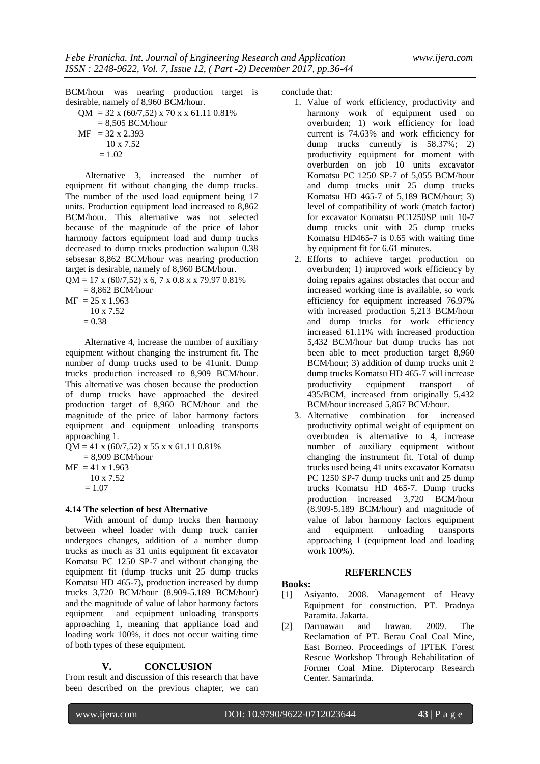BCM/hour was nearing production target is desirable, namely of 8,960 BCM/hour.  $QM = 32 \times (60/7,52) \times 70 \times 61.11 \, 0.81\%$ 

= 8,505 BCM/hour  
\n
$$
MF = \frac{32 \times 2.393}{10 \times 7.52}
$$
\n= 1.02

Alternative 3, increased the number of equipment fit without changing the dump trucks. The number of the used load equipment being 17 units. Production equipment load increased to 8,862 BCM/hour. This alternative was not selected because of the magnitude of the price of labor harmony factors equipment load and dump trucks decreased to dump trucks production walupun 0.38 sebsesar 8,862 BCM/hour was nearing production target is desirable, namely of 8,960 BCM/hour.

 $QM = 17$  x (60/7,52) x 6, 7 x 0.8 x x 79.97 0.81%  $= 8,862$  BCM/hour

$$
MF = \frac{25 \times 1.963}{10 \times 7.52}
$$
  
= 0.38

Alternative 4, increase the number of auxiliary equipment without changing the instrument fit. The number of dump trucks used to be 41unit. Dump trucks production increased to 8,909 BCM/hour. This alternative was chosen because the production of dump trucks have approached the desired production target of 8,960 BCM/hour and the magnitude of the price of labor harmony factors equipment and equipment unloading transports approaching 1.

 $QM = 41 \times (60/7,52) \times 55 \times (61.11, 0.81\%)$ = 8,909 BCM/hour

 $MF = 41 \times 1.963$  10 x 7.52  $= 1.07$ 

#### **4.14 The selection of best Alternative**

With amount of dump trucks then harmony between wheel loader with dump truck carrier undergoes changes, addition of a number dump trucks as much as 31 units equipment fit excavator Komatsu PC 1250 SP-7 and without changing the equipment fit (dump trucks unit 25 dump trucks Komatsu HD 465-7), production increased by dump trucks 3,720 BCM/hour (8.909-5.189 BCM/hour) and the magnitude of value of labor harmony factors equipment and equipment unloading transports approaching 1, meaning that appliance load and loading work 100%, it does not occur waiting time of both types of these equipment.

#### **V. CONCLUSION**

From result and discussion of this research that have been described on the previous chapter, we can conclude that:

- 1. Value of work efficiency, productivity and harmony work of equipment used on overburden; 1) work efficiency for load current is 74.63% and work efficiency for dump trucks currently is 58.37%; 2) productivity equipment for moment with overburden on job 10 units excavator Komatsu PC 1250 SP-7 of 5,055 BCM/hour and dump trucks unit 25 dump trucks Komatsu HD 465-7 of 5,189 BCM/hour; 3) level of compatibility of work (match factor) for excavator Komatsu PC1250SP unit 10-7 dump trucks unit with 25 dump trucks Komatsu HD465-7 is 0.65 with waiting time by equipment fit for 6.61 minutes.
- 2. Efforts to achieve target production on overburden; 1) improved work efficiency by doing repairs against obstacles that occur and increased working time is available, so work efficiency for equipment increased 76.97% with increased production 5,213 BCM/hour and dump trucks for work efficiency increased 61.11% with increased production 5,432 BCM/hour but dump trucks has not been able to meet production target 8,960 BCM/hour; 3) addition of dump trucks unit 2 dump trucks Komatsu HD 465-7 will increase productivity equipment transport of 435/BCM, increased from originally 5,432 BCM/hour increased 5,867 BCM/hour.
- 3. Alternative combination for increased productivity optimal weight of equipment on overburden is alternative to 4, increase number of auxiliary equipment without changing the instrument fit. Total of dump trucks used being 41 units excavator Komatsu PC 1250 SP-7 dump trucks unit and 25 dump trucks Komatsu HD 465-7. Dump trucks production increased 3,720 BCM/hour (8.909-5.189 BCM/hour) and magnitude of value of labor harmony factors equipment and equipment unloading transports approaching 1 (equipment load and loading work 100%).

#### **REFERENCES**

#### **Books:**

- [1] Asiyanto. 2008. Management of Heavy Equipment for construction. PT. Pradnya Paramita. Jakarta.
- [2] Darmawan and Irawan. 2009. The Reclamation of PT. Berau Coal Coal Mine, East Borneo. Proceedings of IPTEK Forest Rescue Workshop Through Rehabilitation of Former Coal Mine. Dipterocarp Research Center. Samarinda.